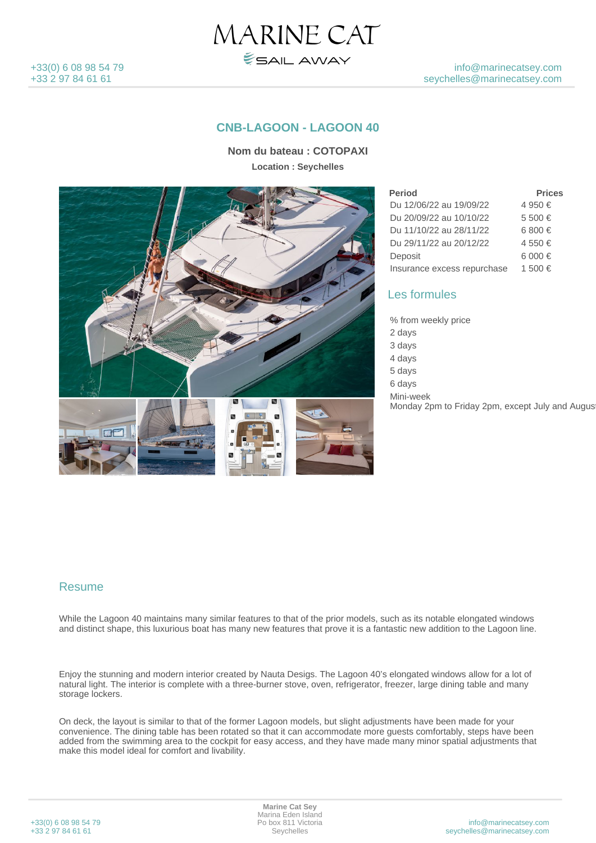

### **CNB-LAGOON - LAGOON 40**

MARINE CAT

ESAIL AWAY

**Nom du bateau : COTOPAXI Location : Seychelles**



| <b>Period</b>               | <b>Prices</b> |
|-----------------------------|---------------|
| Du 12/06/22 au 19/09/22     | 4 950 €       |
| Du 20/09/22 au 10/10/22     | 5 500 €       |
| Du 11/10/22 au 28/11/22     | 6 800 €       |
| Du 29/11/22 au 20/12/22     | 4 550 €       |
| Deposit                     | 6 000 €       |
| Insurance excess repurchase | 1.500 €       |

#### Les formules

% from weekly price 2 days 3 days 4 days 80% and 20% and 20% and 20% and 20% and 20% and 20% and 20% and 20% and 20% and 20% and 20% and 20% and 5 days 90% and 200 million to the contract of the contract of the contract of the contract of the contract of the contract of the contract of the contract of the contract of the contract of the contract of the contract of 6 days Mini-week Monday 2pm to Friday 2pm, except July and August

### Resume

While the Lagoon 40 maintains many similar features to that of the prior models, such as its notable elongated windows and distinct shape, this luxurious boat has many new features that prove it is a fantastic new addition to the Lagoon line.

Enjoy the stunning and modern interior created by Nauta Desigs. The Lagoon 40's elongated windows allow for a lot of natural light. The interior is complete with a three-burner stove, oven, refrigerator, freezer, large dining table and many storage lockers.

On deck, the layout is similar to that of the former Lagoon models, but slight adjustments have been made for your convenience. The dining table has been rotated so that it can accommodate more guests comfortably, steps have been added from the swimming area to the cockpit for easy access, and they have made many minor spatial adjustments that make this model ideal for comfort and livability.

| +33(0) 6 08 98 54 79 |  |  |  |
|----------------------|--|--|--|
| +33 2 97 84 61 61    |  |  |  |